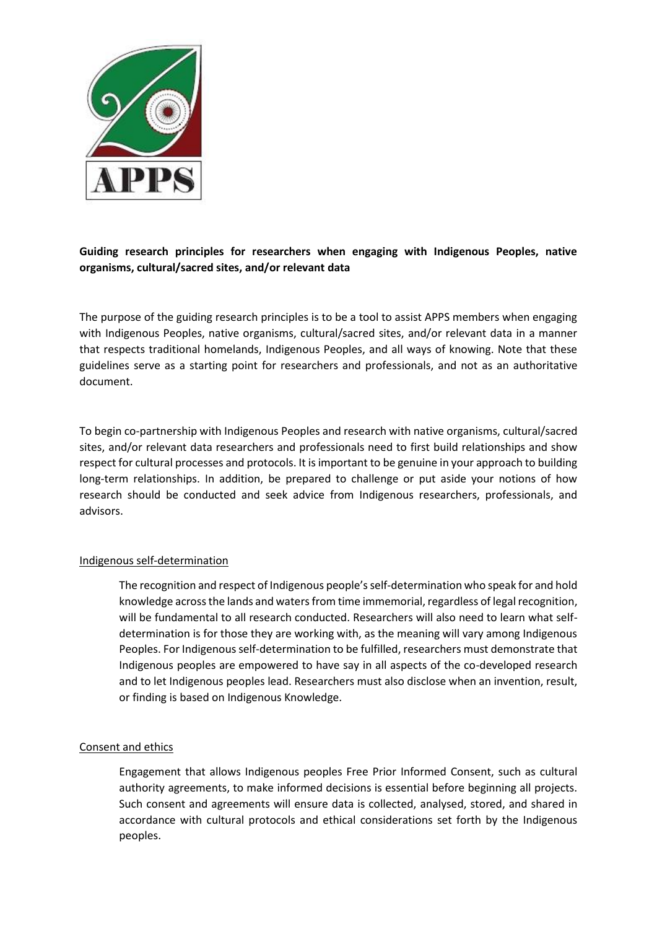

# **Guiding research principles for researchers when engaging with Indigenous Peoples, native organisms, cultural/sacred sites, and/or relevant data**

The purpose of the guiding research principles is to be a tool to assist APPS members when engaging with Indigenous Peoples, native organisms, cultural/sacred sites, and/or relevant data in a manner that respects traditional homelands, Indigenous Peoples, and all ways of knowing. Note that these guidelines serve as a starting point for researchers and professionals, and not as an authoritative document.

To begin co-partnership with Indigenous Peoples and research with native organisms, cultural/sacred sites, and/or relevant data researchers and professionals need to first build relationships and show respect for cultural processes and protocols. It is important to be genuine in your approach to building long-term relationships. In addition, be prepared to challenge or put aside your notions of how research should be conducted and seek advice from Indigenous researchers, professionals, and advisors.

## Indigenous self-determination

The recognition and respect of Indigenous people's self-determination who speak for and hold knowledge across the lands and waters from time immemorial, regardless of legal recognition, will be fundamental to all research conducted. Researchers will also need to learn what selfdetermination is for those they are working with, as the meaning will vary among Indigenous Peoples. For Indigenous self-determination to be fulfilled, researchers must demonstrate that Indigenous peoples are empowered to have say in all aspects of the co-developed research and to let Indigenous peoples lead. Researchers must also disclose when an invention, result, or finding is based on Indigenous Knowledge.

### Consent and ethics

Engagement that allows Indigenous peoples Free Prior Informed Consent, such as cultural authority agreements, to make informed decisions is essential before beginning all projects. Such consent and agreements will ensure data is collected, analysed, stored, and shared in accordance with cultural protocols and ethical considerations set forth by the Indigenous peoples.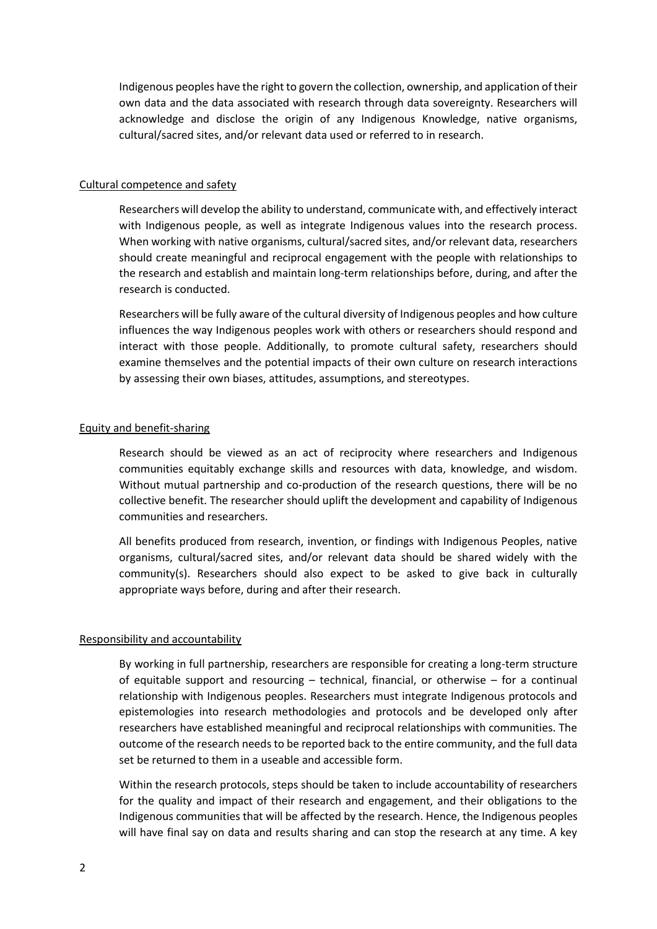Indigenous peoples have the right to govern the collection, ownership, and application of their own data and the data associated with research through data sovereignty. Researchers will acknowledge and disclose the origin of any Indigenous Knowledge, native organisms, cultural/sacred sites, and/or relevant data used or referred to in research.

#### Cultural competence and safety

Researchers will develop the ability to understand, communicate with, and effectively interact with Indigenous people, as well as integrate Indigenous values into the research process. When working with native organisms, cultural/sacred sites, and/or relevant data, researchers should create meaningful and reciprocal engagement with the people with relationships to the research and establish and maintain long-term relationships before, during, and after the research is conducted.

Researchers will be fully aware of the cultural diversity of Indigenous peoples and how culture influences the way Indigenous peoples work with others or researchers should respond and interact with those people. Additionally, to promote cultural safety, researchers should examine themselves and the potential impacts of their own culture on research interactions by assessing their own biases, attitudes, assumptions, and stereotypes.

#### Equity and benefit-sharing

Research should be viewed as an act of reciprocity where researchers and Indigenous communities equitably exchange skills and resources with data, knowledge, and wisdom. Without mutual partnership and co-production of the research questions, there will be no collective benefit. The researcher should uplift the development and capability of Indigenous communities and researchers.

All benefits produced from research, invention, or findings with Indigenous Peoples, native organisms, cultural/sacred sites, and/or relevant data should be shared widely with the community(s). Researchers should also expect to be asked to give back in culturally appropriate ways before, during and after their research.

### Responsibility and accountability

By working in full partnership, researchers are responsible for creating a long-term structure of equitable support and resourcing  $-$  technical, financial, or otherwise  $-$  for a continual relationship with Indigenous peoples. Researchers must integrate Indigenous protocols and epistemologies into research methodologies and protocols and be developed only after researchers have established meaningful and reciprocal relationships with communities. The outcome of the research needs to be reported back to the entire community, and the full data set be returned to them in a useable and accessible form.

Within the research protocols, steps should be taken to include accountability of researchers for the quality and impact of their research and engagement, and their obligations to the Indigenous communities that will be affected by the research. Hence, the Indigenous peoples will have final say on data and results sharing and can stop the research at any time. A key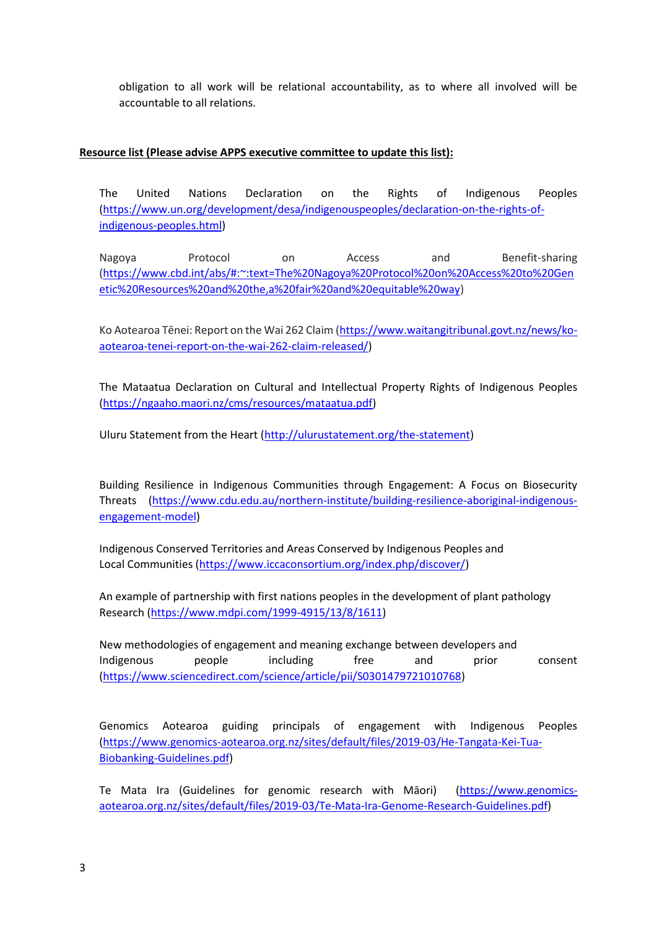obligation to all work will be relational accountability, as to where all involved will be accountable to all relations.

## **Resource list (Please advise APPS executive committee to update this list):**

The United Nations Declaration on the Rights of Indigenous Peoples [\(https://www.un.org/development/desa/indigenouspeoples/declaration-on-the-rights-of](https://www.un.org/development/desa/indigenouspeoples/declaration-on-the-rights-of-indigenous-peoples.html)[indigenous-peoples.html\)](https://www.un.org/development/desa/indigenouspeoples/declaration-on-the-rights-of-indigenous-peoples.html)

Nagoya Protocol on Access and Benefit-sharing [\(https://www.cbd.int/abs/#:~:text=The%20Nagoya%20Protocol%20on%20Access%20to%20Gen](https://www.cbd.int/abs/#:~:text=The%20Nagoya%20Protocol%20on%20Access%20to%20Genetic%20Resources%20and%20the,a%20fair%20and%20equitable%20way) [etic%20Resources%20and%20the,a%20fair%20and%20equitable%20way\)](https://www.cbd.int/abs/#:~:text=The%20Nagoya%20Protocol%20on%20Access%20to%20Genetic%20Resources%20and%20the,a%20fair%20and%20equitable%20way)

Ko Aotearoa Tēnei: Report on the Wai 262 Claim ([https://www.waitangitribunal.govt.nz/news/ko](https://www.waitangitribunal.govt.nz/news/ko-aotearoa-tenei-report-on-the-wai-262-claim-released/)[aotearoa-tenei-report-on-the-wai-262-claim-released/\)](https://www.waitangitribunal.govt.nz/news/ko-aotearoa-tenei-report-on-the-wai-262-claim-released/)

The Mataatua Declaration on Cultural and Intellectual Property Rights of Indigenous Peoples [\(https://ngaaho.maori.nz/cms/resources/mataatua.pdf\)](https://ngaaho.maori.nz/cms/resources/mataatua.pdf)

Uluru Statement from the Heart [\(http://ulurustatement.org/the-statement\)](http://ulurustatement.org/the-statement)

Building Resilience in Indigenous Communities through Engagement: A Focus on Biosecurity Threats [\(https://www.cdu.edu.au/northern-institute/building-resilience-aboriginal-indigenous](https://www.cdu.edu.au/northern-institute/building-resilience-aboriginal-indigenous-engagement-model)[engagement-model\)](https://www.cdu.edu.au/northern-institute/building-resilience-aboriginal-indigenous-engagement-model)

Indigenous Conserved Territories and Areas Conserved by Indigenous Peoples and Local Communities [\(https://www.iccaconsortium.org/index.php/discover/\)](https://www.iccaconsortium.org/index.php/discover/)

An example of partnership with first nations peoples in the development of plant pathology Research [\(https://www.mdpi.com/1999-4915/13/8/1611\)](https://www.mdpi.com/1999-4915/13/8/1611)

New methodologies of engagement and meaning exchange between developers and Indigenous people including free and prior consent [\(https://www.sciencedirect.com/science/article/pii/S0301479721010768\)](https://www.sciencedirect.com/science/article/pii/S0301479721010768)

Genomics Aotearoa guiding principals of engagement with Indigenous Peoples [\(https://www.genomics-aotearoa.org.nz/sites/default/files/2019-03/He-Tangata-Kei-Tua-](https://www.genomics-aotearoa.org.nz/sites/default/files/2019-03/He-Tangata-Kei-Tua-Biobanking-Guidelines.pdf)[Biobanking-Guidelines.pdf\)](https://www.genomics-aotearoa.org.nz/sites/default/files/2019-03/He-Tangata-Kei-Tua-Biobanking-Guidelines.pdf)

Te Mata Ira (Guidelines for genomic research with Māori) ([https://www.genomics](https://www.genomics-aotearoa.org.nz/sites/default/files/2019-03/Te-Mata-Ira-Genome-Research-Guidelines.pdf)[aotearoa.org.nz/sites/default/files/2019-03/Te-Mata-Ira-Genome-Research-Guidelines.pdf\)](https://www.genomics-aotearoa.org.nz/sites/default/files/2019-03/Te-Mata-Ira-Genome-Research-Guidelines.pdf)